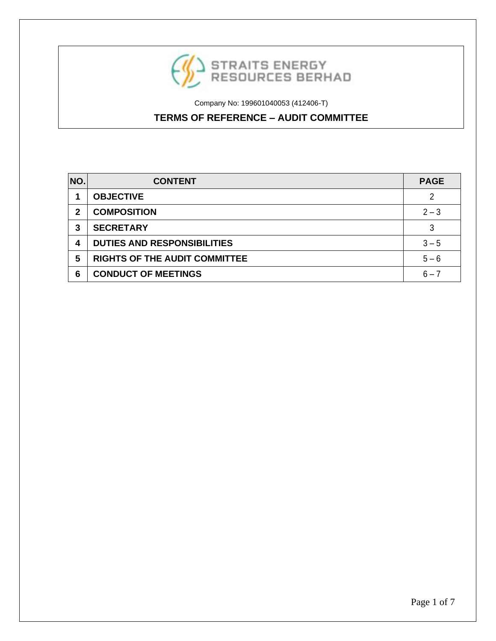

# **TERMS OF REFERENCE – AUDIT COMMITTEE**

| NO. | <b>CONTENT</b>                       | <b>PAGE</b> |
|-----|--------------------------------------|-------------|
|     | <b>OBJECTIVE</b>                     | 2           |
| 2   | <b>COMPOSITION</b>                   | $2 - 3$     |
| 3   | <b>SECRETARY</b>                     | 3           |
| 4   | <b>DUTIES AND RESPONSIBILITIES</b>   | $3 - 5$     |
| 5   | <b>RIGHTS OF THE AUDIT COMMITTEE</b> | $5 - 6$     |
| 6   | <b>CONDUCT OF MEETINGS</b>           | $6 - 7$     |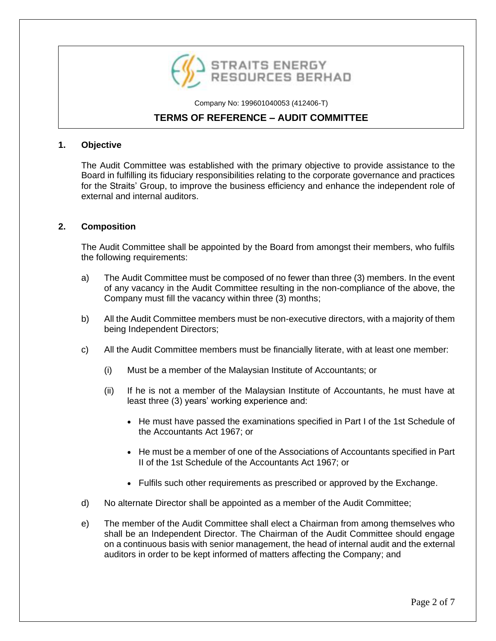

# **TERMS OF REFERENCE – AUDIT COMMITTEE**

#### **1. Objective**

The Audit Committee was established with the primary objective to provide assistance to the Board in fulfilling its fiduciary responsibilities relating to the corporate governance and practices for the Straits' Group, to improve the business efficiency and enhance the independent role of external and internal auditors.

### **2. Composition**

The Audit Committee shall be appointed by the Board from amongst their members, who fulfils the following requirements:

- a) The Audit Committee must be composed of no fewer than three (3) members. In the event of any vacancy in the Audit Committee resulting in the non-compliance of the above, the Company must fill the vacancy within three (3) months;
- b) All the Audit Committee members must be non-executive directors, with a majority of them being Independent Directors;
- c) All the Audit Committee members must be financially literate, with at least one member:
	- (i) Must be a member of the Malaysian Institute of Accountants; or
	- (ii) If he is not a member of the Malaysian Institute of Accountants, he must have at least three (3) years' working experience and:
		- He must have passed the examinations specified in Part I of the 1st Schedule of the Accountants Act 1967; or
		- He must be a member of one of the Associations of Accountants specified in Part II of the 1st Schedule of the Accountants Act 1967; or
		- Fulfils such other requirements as prescribed or approved by the Exchange.
- d) No alternate Director shall be appointed as a member of the Audit Committee;
- e) The member of the Audit Committee shall elect a Chairman from among themselves who shall be an Independent Director. The Chairman of the Audit Committee should engage on a continuous basis with senior management, the head of internal audit and the external auditors in order to be kept informed of matters affecting the Company; and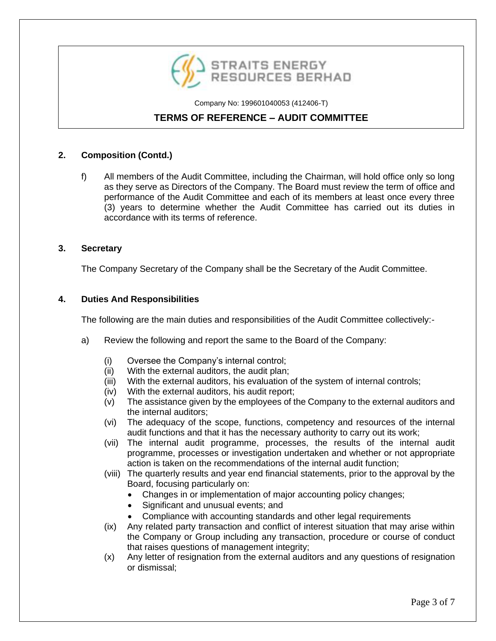

# **TERMS OF REFERENCE – AUDIT COMMITTEE**

### **2. Composition (Contd.)**

f) All members of the Audit Committee, including the Chairman, will hold office only so long as they serve as Directors of the Company. The Board must review the term of office and performance of the Audit Committee and each of its members at least once every three (3) years to determine whether the Audit Committee has carried out its duties in accordance with its terms of reference.

#### **3. Secretary**

The Company Secretary of the Company shall be the Secretary of the Audit Committee.

#### **4. Duties And Responsibilities**

The following are the main duties and responsibilities of the Audit Committee collectively:-

- a) Review the following and report the same to the Board of the Company:
	- (i) Oversee the Company's internal control;
	- (ii) With the external auditors, the audit plan;
	- (iii) With the external auditors, his evaluation of the system of internal controls;
	- (iv) With the external auditors, his audit report;
	- (v) The assistance given by the employees of the Company to the external auditors and the internal auditors;
	- (vi) The adequacy of the scope, functions, competency and resources of the internal audit functions and that it has the necessary authority to carry out its work;
	- (vii) The internal audit programme, processes, the results of the internal audit programme, processes or investigation undertaken and whether or not appropriate action is taken on the recommendations of the internal audit function;
	- (viii) The quarterly results and year end financial statements, prior to the approval by the Board, focusing particularly on:
		- Changes in or implementation of major accounting policy changes;
		- Significant and unusual events; and
		- Compliance with accounting standards and other legal requirements
	- (ix) Any related party transaction and conflict of interest situation that may arise within the Company or Group including any transaction, procedure or course of conduct that raises questions of management integrity;
	- (x) Any letter of resignation from the external auditors and any questions of resignation or dismissal;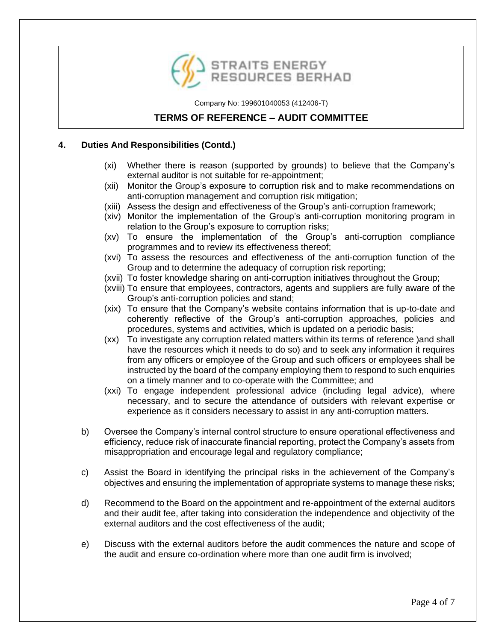

# **TERMS OF REFERENCE – AUDIT COMMITTEE**

### **4. Duties And Responsibilities (Contd.)**

- (xi) Whether there is reason (supported by grounds) to believe that the Company's external auditor is not suitable for re-appointment;
- (xii) Monitor the Group's exposure to corruption risk and to make recommendations on anti-corruption management and corruption risk mitigation;
- (xiii) Assess the design and effectiveness of the Group's anti-corruption framework;
- (xiv) Monitor the implementation of the Group's anti-corruption monitoring program in relation to the Group's exposure to corruption risks;
- (xv) To ensure the implementation of the Group's anti-corruption compliance programmes and to review its effectiveness thereof;
- (xvi) To assess the resources and effectiveness of the anti-corruption function of the Group and to determine the adequacy of corruption risk reporting;
- (xvii) To foster knowledge sharing on anti-corruption initiatives throughout the Group;
- (xviii) To ensure that employees, contractors, agents and suppliers are fully aware of the Group's anti-corruption policies and stand;
- (xix) To ensure that the Company's website contains information that is up-to-date and coherently reflective of the Group's anti-corruption approaches, policies and procedures, systems and activities, which is updated on a periodic basis;
- (xx) To investigate any corruption related matters within its terms of reference )and shall have the resources which it needs to do so) and to seek any information it requires from any officers or employee of the Group and such officers or employees shall be instructed by the board of the company employing them to respond to such enquiries on a timely manner and to co-operate with the Committee; and
- (xxi) To engage independent professional advice (including legal advice), where necessary, and to secure the attendance of outsiders with relevant expertise or experience as it considers necessary to assist in any anti-corruption matters.
- b) Oversee the Company's internal control structure to ensure operational effectiveness and efficiency, reduce risk of inaccurate financial reporting, protect the Company's assets from misappropriation and encourage legal and regulatory compliance;
- c) Assist the Board in identifying the principal risks in the achievement of the Company's objectives and ensuring the implementation of appropriate systems to manage these risks;
- d) Recommend to the Board on the appointment and re-appointment of the external auditors and their audit fee, after taking into consideration the independence and objectivity of the external auditors and the cost effectiveness of the audit;
- e) Discuss with the external auditors before the audit commences the nature and scope of the audit and ensure co-ordination where more than one audit firm is involved;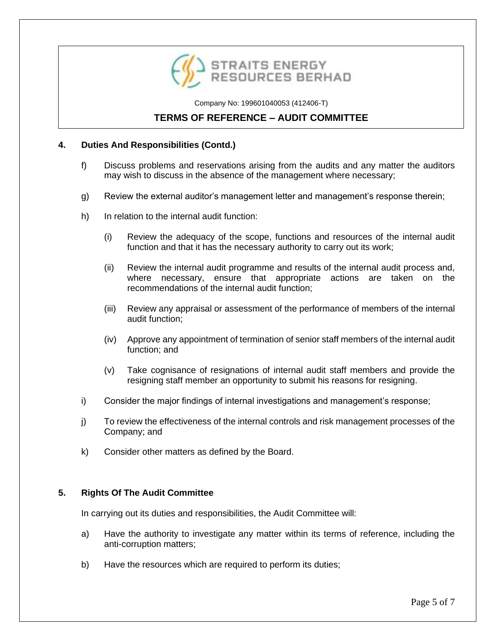

# **TERMS OF REFERENCE – AUDIT COMMITTEE**

### **4. Duties And Responsibilities (Contd.)**

- f) Discuss problems and reservations arising from the audits and any matter the auditors may wish to discuss in the absence of the management where necessary;
- g) Review the external auditor's management letter and management's response therein;
- h) In relation to the internal audit function:
	- (i) Review the adequacy of the scope, functions and resources of the internal audit function and that it has the necessary authority to carry out its work;
	- (ii) Review the internal audit programme and results of the internal audit process and, where necessary, ensure that appropriate actions are taken on the recommendations of the internal audit function;
	- (iii) Review any appraisal or assessment of the performance of members of the internal audit function;
	- (iv) Approve any appointment of termination of senior staff members of the internal audit function; and
	- (v) Take cognisance of resignations of internal audit staff members and provide the resigning staff member an opportunity to submit his reasons for resigning.
- i) Consider the major findings of internal investigations and management's response;
- j) To review the effectiveness of the internal controls and risk management processes of the Company; and
- k) Consider other matters as defined by the Board.

#### **5. Rights Of The Audit Committee**

In carrying out its duties and responsibilities, the Audit Committee will:

- a) Have the authority to investigate any matter within its terms of reference, including the anti-corruption matters;
- b) Have the resources which are required to perform its duties;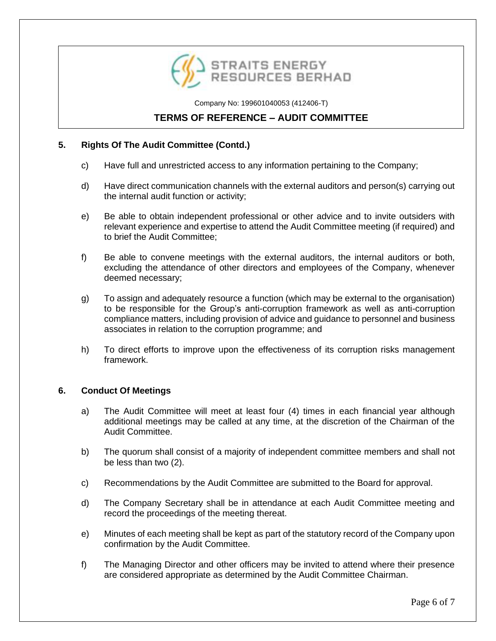

# **TERMS OF REFERENCE – AUDIT COMMITTEE**

### **5. Rights Of The Audit Committee (Contd.)**

- c) Have full and unrestricted access to any information pertaining to the Company;
- d) Have direct communication channels with the external auditors and person(s) carrying out the internal audit function or activity;
- e) Be able to obtain independent professional or other advice and to invite outsiders with relevant experience and expertise to attend the Audit Committee meeting (if required) and to brief the Audit Committee;
- f) Be able to convene meetings with the external auditors, the internal auditors or both, excluding the attendance of other directors and employees of the Company, whenever deemed necessary;
- g) To assign and adequately resource a function (which may be external to the organisation) to be responsible for the Group's anti-corruption framework as well as anti-corruption compliance matters, including provision of advice and guidance to personnel and business associates in relation to the corruption programme; and
- h) To direct efforts to improve upon the effectiveness of its corruption risks management framework.

#### **6. Conduct Of Meetings**

- a) The Audit Committee will meet at least four (4) times in each financial year although additional meetings may be called at any time, at the discretion of the Chairman of the Audit Committee.
- b) The quorum shall consist of a majority of independent committee members and shall not be less than two (2).
- c) Recommendations by the Audit Committee are submitted to the Board for approval.
- d) The Company Secretary shall be in attendance at each Audit Committee meeting and record the proceedings of the meeting thereat.
- e) Minutes of each meeting shall be kept as part of the statutory record of the Company upon confirmation by the Audit Committee.
- f) The Managing Director and other officers may be invited to attend where their presence are considered appropriate as determined by the Audit Committee Chairman.